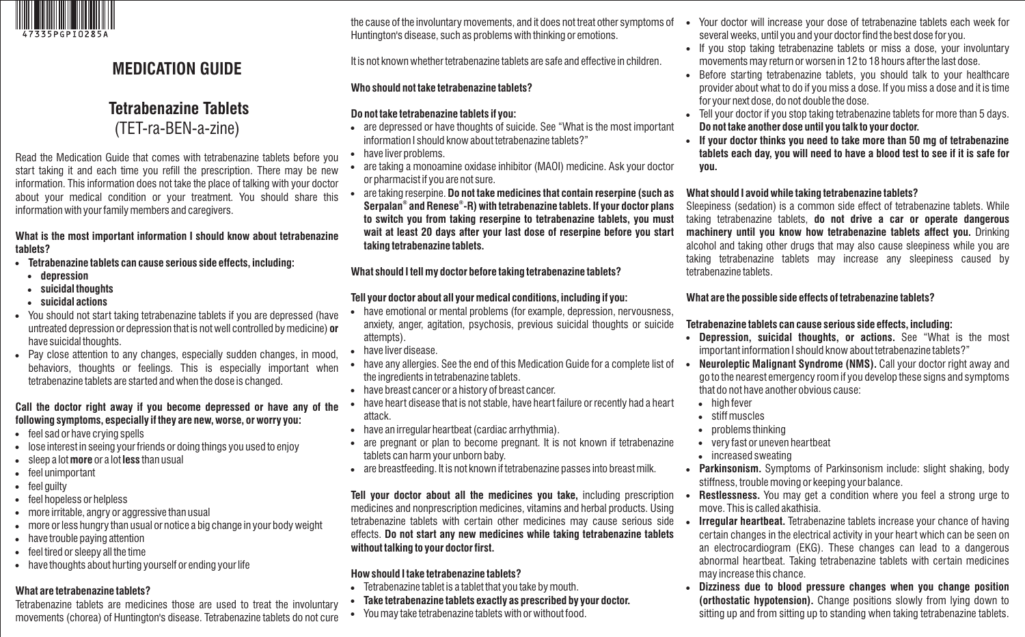

# **MEDICATION GUIDE**

 **Tetrabenazine Tablets** (TET-ra-BEN-a-zine)

Read the Medication Guide that comes with tetrabenazine tablets before you start taking it and each time you refill the prescription. There may be new information. This information does not take the place of talking with your doctor about your medical condition or your treatment. You should share this information with your family members and caregivers.

#### **What is the most important information I should know about tetrabenazine tablets?**

- **Tetrabenazine tablets can cause serious side effects, including:** 
	- **depression**
	- **suicidal thoughts**
	- **suicidal actions**
- You should not start taking tetrabenazine tablets if you are depressed (have untreated depression or depression that is not well controlled by medicine) **or** have suicidal thoughts.
- Pay close attention to any changes, especially sudden changes, in mood, behaviors, thoughts or feelings. This is especially important when tetrabenazine tablets are started and when the dose is changed.

#### **Call the doctor right away if you become depressed or have any of the following symptoms, especially if they are new, worse, or worry you:**

- feel sad or have crying spells
- lose interest in seeing your friends or doing things you used to enjoy
- sleep a lot **more** or a lot **less** than usual
- feel unimportant
- feel quilty
- feel hopeless or helpless
- more irritable, angry or aggressive than usual
- more or less hungry than usual or notice a big change in your body weight
- have trouble paying attention
- feel tired or sleepy all the time
- have thoughts about hurting yourself or ending your life

### **What are tetrabenazine tablets?**

Tetrabenazine tablets are medicines those are used to treat the involuntary movements (chorea) of Huntington's disease. Tetrabenazine tablets do not cure

the cause of the involuntary movements, and it does not treat other symptoms of Huntington's disease, such as problems with thinking or emotions.

It is not known whether tetrabenazine tablets are safe and effective in children.

## **Who should not take tetrabenazine tablets?**

## **Do not take tetrabenazine tablets if you:**

- are depressed or have thoughts of suicide. See "What is the most important information I should know about tetrabenazine tablets?"
- have liver problems.
- are taking a monoamine oxidase inhibitor (MAOI) medicine. Ask your doctor or pharmacist if you are not sure.
- are taking reserpine. **Do not take medicines that contain reserpine (such as ® ® Serpalan and Renese -R) with tetrabenazine tablets. If your doctor plans to switch you from taking reserpine to tetrabenazine tablets, you must wait at least 20 days after your last dose of reserpine before you start taking tetrabenazine tablets.**

# **What should I tell my doctor before taking tetrabenazine tablets?**

# **Tell your doctor about all your medical conditions, including if you:**

- have emotional or mental problems (for example, depression, nervousness, anxiety, anger, agitation, psychosis, previous suicidal thoughts or suicide attempts).
- have liver disease.
- have any allergies. See the end of this Medication Guide for a complete list of the ingredients in tetrabenazine tablets.
- have breast cancer or a history of breast cancer.
- have heart disease that is not stable, have heart failure or recently had a heart attack.
- have an irregular heartbeat (cardiac arrhythmia).
- are pregnant or plan to become pregnant. It is not known if tetrabenazine tablets can harm your unborn baby.
- are breastfeeding. It is not known if tetrabenazine passes into breast milk.

**Tell your doctor about all the medicines you take,** including prescription medicines and nonprescription medicines, vitamins and herbal products. Using tetrabenazine tablets with certain other medicines may cause serious side effects. **Do not start any new medicines while taking tetrabenazine tablets without talking to your doctor first.** 

# **How should I take tetrabenazine tablets?**

- Tetrabenazine tablet is a tablet that you take by mouth.
- **Take tetrabenazine tablets exactly as prescribed by your doctor.**
- You may take tetrabenazine tablets with or without food.
- Your doctor will increase your dose of tetrabenazine tablets each week for several weeks, until you and your doctor find the best dose for you.
- If you stop taking tetrabenazine tablets or miss a dose, your involuntary movements may return or worsen in 12 to 18 hours after the last dose.
- Before starting tetrabenazine tablets, you should talk to your healthcare provider about what to do if you miss a dose. If you miss a dose and it is time for your next dose, do not double the dose.
- Tell your doctor if you stop taking tetrabenazine tablets for more than 5 days. **Do not take another dose until you talk to your doctor.**
- **If your doctor thinks you need to take more than 50 mg of tetrabenazine tablets each day, you will need to have a blood test to see if it is safe for you.**

### **What should I avoid while taking tetrabenazine tablets?**

Sleepiness (sedation) is a common side effect of tetrabenazine tablets. While taking tetrabenazine tablets, **do not drive a car or operate dangerous machinery until you know how tetrabenazine tablets affect you.** Drinking alcohol and taking other drugs that may also cause sleepiness while you are taking tetrabenazine tablets may increase any sleepiness caused by tetrabenazine tablets.

## **What are the possible side effects of tetrabenazine tablets?**

# **Tetrabenazine tablets can cause serious side effects, including:**

- **Depression, suicidal thoughts, or actions.** See "What is the most important information I should know about tetrabenazine tablets?"
- **Neuroleptic Malignant Syndrome (NMS).** Call your doctor right away and go to the nearest emergency room if you develop these signs and symptoms that do not have another obvious cause:
	- high fever
	- stiff muscles
	- $\bullet$  problems thinking
	- very fast or uneven heartbeat
	- increased sweating
- **Parkinsonism.** Symptoms of Parkinsonism include: slight shaking, body stiffness, trouble moving or keeping your balance.
- **Restlessness.** You may get a condition where you feel a strong urge to move. This is called akathisia.
- **Irregular heartbeat.** Tetrabenazine tablets increase your chance of having certain changes in the electrical activity in your heart which can be seen on an electrocardiogram (EKG). These changes can lead to a dangerous abnormal heartbeat. Taking tetrabenazine tablets with certain medicines may increase this chance.
- **Dizziness due to blood pressure changes when you change position (orthostatic hypotension).** Change positions slowly from lying down to sitting up and from sitting up to standing when taking tetrabenazine tablets.